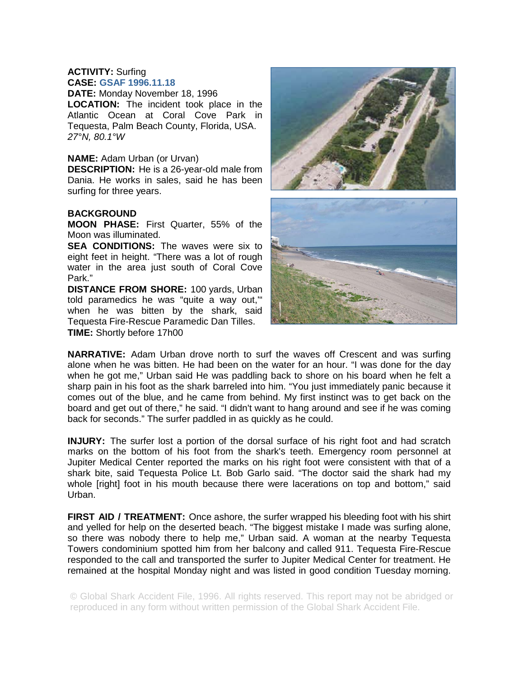## **ACTIVITY:** Surfing **CASE: GSAF 1996.11.18**

**DATE:** Monday November 18, 1996 **LOCATION:** The incident took place in the Atlantic Ocean at Coral Cove Park in Tequesta, Palm Beach County, Florida, USA. *27°N, 80.1°W* 

## **NAME:** Adam Urban (or Urvan)

**DESCRIPTION:** He is a 26-year-old male from Dania. He works in sales, said he has been surfing for three years.

## **BACKGROUND**

**MOON PHASE:** First Quarter, 55% of the Moon was illuminated.

**SEA CONDITIONS:** The waves were six to eight feet in height. "There was a lot of rough water in the area just south of Coral Cove Park."

**DISTANCE FROM SHORE:** 100 yards, Urban told paramedics he was "quite a way out,'" when he was bitten by the shark, said Tequesta Fire-Rescue Paramedic Dan Tilles. **TIME:** Shortly before 17h00



**NARRATIVE:** Adam Urban drove north to surf the waves off Crescent and was surfing alone when he was bitten. He had been on the water for an hour. "I was done for the day when he got me," Urban said He was paddling back to shore on his board when he felt a sharp pain in his foot as the shark barreled into him. "You just immediately panic because it comes out of the blue, and he came from behind. My first instinct was to get back on the board and get out of there," he said. "I didn't want to hang around and see if he was coming back for seconds." The surfer paddled in as quickly as he could.

**INJURY:** The surfer lost a portion of the dorsal surface of his right foot and had scratch marks on the bottom of his foot from the shark's teeth. Emergency room personnel at Jupiter Medical Center reported the marks on his right foot were consistent with that of a shark bite, said Tequesta Police Lt. Bob Garlo said. "The doctor said the shark had my whole [right] foot in his mouth because there were lacerations on top and bottom," said Urban.

**FIRST AID / TREATMENT:** Once ashore, the surfer wrapped his bleeding foot with his shirt and yelled for help on the deserted beach. "The biggest mistake I made was surfing alone, so there was nobody there to help me," Urban said. A woman at the nearby Tequesta Towers condominium spotted him from her balcony and called 911. Tequesta Fire-Rescue responded to the call and transported the surfer to Jupiter Medical Center for treatment. He remained at the hospital Monday night and was listed in good condition Tuesday morning.

© Global Shark Accident File, 1996. All rights reserved. This report may not be abridged or reproduced in any form without written permission of the Global Shark Accident File.